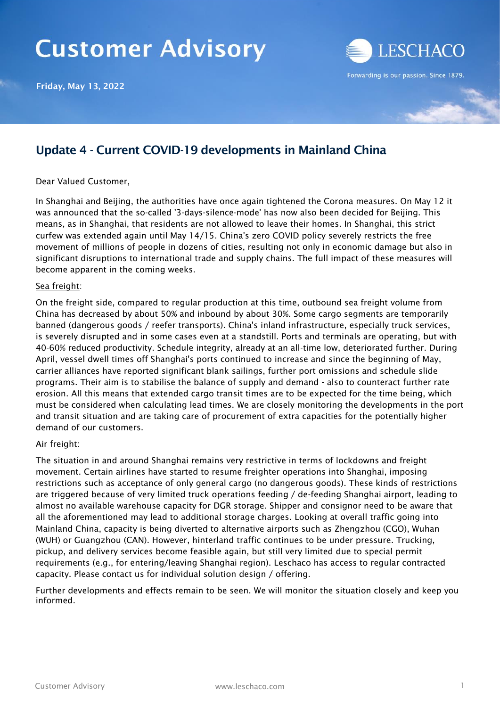# **Customer Advisory**

Friday, May 13, 2022



### Update 4 - Current COVID-19 developments in Mainland China

#### Dear Valued Customer,

In Shanghai and Beijing, the authorities have once again tightened the Corona measures. On May 12 it was announced that the so-called '3-days-silence-mode' has now also been decided for Beijing. This means, as in Shanghai, that residents are not allowed to leave their homes. In Shanghai, this strict curfew was extended again until May 14/15. China's zero COVID policy severely restricts the free movement of millions of people in dozens of cities, resulting not only in economic damage but also in significant disruptions to international trade and supply chains. The full impact of these measures will become apparent in the coming weeks.

#### Sea freight:

On the freight side, compared to regular production at this time, outbound sea freight volume from China has decreased by about 50% and inbound by about 30%. Some cargo segments are temporarily banned (dangerous goods / reefer transports). China's inland infrastructure, especially truck services, is severely disrupted and in some cases even at a standstill. Ports and terminals are operating, but with 40-60% reduced productivity. Schedule integrity, already at an all-time low, deteriorated further. During April, vessel dwell times off Shanghai's ports continued to increase and since the beginning of May, carrier alliances have reported significant blank sailings, further port omissions and schedule slide programs. Their aim is to stabilise the balance of supply and demand - also to counteract further rate erosion. All this means that extended cargo transit times are to be expected for the time being, which must be considered when calculating lead times. We are closely monitoring the developments in the port and transit situation and are taking care of procurement of extra capacities for the potentially higher demand of our customers.

#### Air freight:

The situation in and around Shanghai remains very restrictive in terms of lockdowns and freight movement. Certain airlines have started to resume freighter operations into Shanghai, imposing restrictions such as acceptance of only general cargo (no dangerous goods). These kinds of restrictions are triggered because of very limited truck operations feeding / de-feeding Shanghai airport, leading to almost no available warehouse capacity for DGR storage. Shipper and consignor need to be aware that all the aforementioned may lead to additional storage charges. Looking at overall traffic going into Mainland China, capacity is being diverted to alternative airports such as Zhengzhou (CGO), Wuhan (WUH) or Guangzhou (CAN). However, hinterland traffic continues to be under pressure. Trucking, pickup, and delivery services become feasible again, but still very limited due to special permit requirements (e.g., for entering/leaving Shanghai region). Leschaco has access to regular contracted capacity. Please contact us for individual solution design / offering.

Further developments and effects remain to be seen. We will monitor the situation closely and keep you informed.